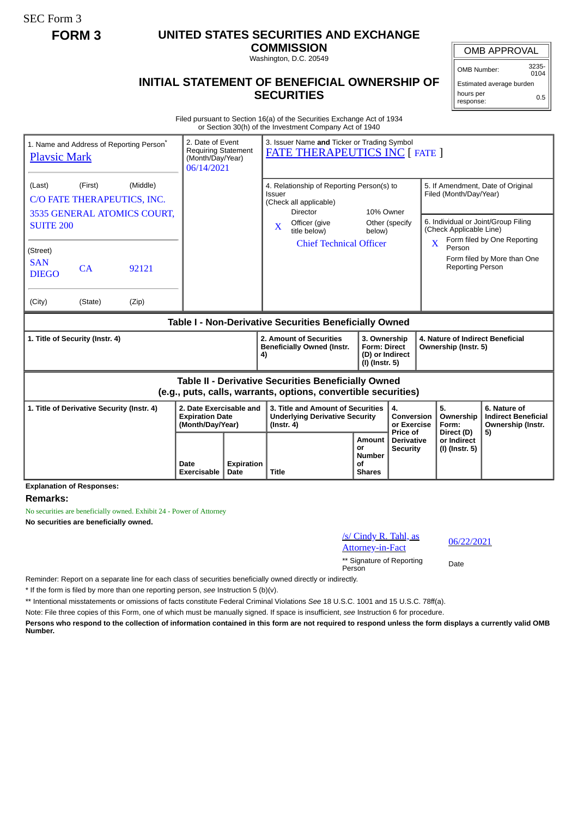SEC Form 3

## **FORM 3 UNITED STATES SECURITIES AND EXCHANGE**

**COMMISSION** Washington, D.C. 20549

## **INITIAL STATEMENT OF BENEFICIAL OWNERSHIP OF SECURITIES**

OMB APPROVAL

OMB Number: 3235-  $0104$ 

Estimated average burden hours per response: 0.5

Filed pursuant to Section 16(a) of the Securities Exchange Act of 1934 or Section 30(h) of the Investment Company Act of 1940

| 1. Name and Address of Reporting Person <sup>®</sup><br><b>Playsic Mark</b>                                                  |               | 2. Date of Event<br><b>Requiring Statement</b><br>(Month/Day/Year)<br>06/14/2021 |                                                                       | 3. Issuer Name and Ticker or Trading Symbol<br><b>FATE THERAPEUTICS INC [ FATE ]</b> |                                                                                                                                   |                                                              |                                                                          |                                 |                                                                                                    |                                                              |                                                                 |
|------------------------------------------------------------------------------------------------------------------------------|---------------|----------------------------------------------------------------------------------|-----------------------------------------------------------------------|--------------------------------------------------------------------------------------|-----------------------------------------------------------------------------------------------------------------------------------|--------------------------------------------------------------|--------------------------------------------------------------------------|---------------------------------|----------------------------------------------------------------------------------------------------|--------------------------------------------------------------|-----------------------------------------------------------------|
| (First)<br>(Middle)<br>(Last)<br>C/O FATE THERAPEUTICS, INC.<br>3535 GENERAL ATOMICS COURT,<br><b>SUITE 200</b>              |               |                                                                                  |                                                                       |                                                                                      | 4. Relationship of Reporting Person(s) to<br>Issuer<br>(Check all applicable)<br><b>Director</b><br>Officer (give<br>$\mathbf{X}$ |                                                              |                                                                          | 10% Owner<br>Other (specify     | 5. If Amendment, Date of Original<br>Filed (Month/Day/Year)<br>6. Individual or Joint/Group Filing |                                                              |                                                                 |
| (Street)<br><b>SAN</b><br><b>DIEGO</b><br>(City)                                                                             | CA<br>(State) | 92121<br>(Zip)                                                                   |                                                                       |                                                                                      |                                                                                                                                   | title below)<br><b>Chief Technical Officer</b>               | below)                                                                   |                                 | $\mathbf{x}$                                                                                       | (Check Applicable Line)<br>Person<br><b>Reporting Person</b> | Form filed by One Reporting<br>Form filed by More than One      |
| Table I - Non-Derivative Securities Beneficially Owned                                                                       |               |                                                                                  |                                                                       |                                                                                      |                                                                                                                                   |                                                              |                                                                          |                                 |                                                                                                    |                                                              |                                                                 |
| 1. Title of Security (Instr. 4)                                                                                              |               |                                                                                  |                                                                       |                                                                                      | 4)                                                                                                                                | 2. Amount of Securities<br><b>Beneficially Owned (Instr.</b> | 3. Ownership<br><b>Form: Direct</b><br>(D) or Indirect<br>(I) (Instr. 5) |                                 | 4. Nature of Indirect Beneficial<br>Ownership (Instr. 5)                                           |                                                              |                                                                 |
| <b>Table II - Derivative Securities Beneficially Owned</b><br>(e.g., puts, calls, warrants, options, convertible securities) |               |                                                                                  |                                                                       |                                                                                      |                                                                                                                                   |                                                              |                                                                          |                                 |                                                                                                    |                                                              |                                                                 |
| 1. Title of Derivative Security (Instr. 4)                                                                                   |               |                                                                                  | 2. Date Exercisable and<br><b>Expiration Date</b><br>(Month/Day/Year) |                                                                                      | 3. Title and Amount of Securities<br><b>Underlying Derivative Security</b><br>$($ lnstr. 4 $)$                                    |                                                              |                                                                          | 4.<br>Conversion<br>or Exercise |                                                                                                    | 5.<br>Ownership<br>Form:                                     | 6. Nature of<br><b>Indirect Beneficial</b><br>Ownership (Instr. |
|                                                                                                                              |               | Date<br><b>Exercisable</b>                                                       | <b>Expiration</b><br>Date                                             |                                                                                      | <b>Title</b>                                                                                                                      | <b>Amount</b><br>or<br><b>Number</b><br>οf<br><b>Shares</b>  | Price of<br><b>Derivative</b><br><b>Security</b>                         |                                 | Direct (D)<br>or Indirect<br>(I) (Instr. 5)                                                        | 5)                                                           |                                                                 |

**Explanation of Responses:**

## **Remarks:**

No securities are beneficially owned. Exhibit 24 - Power of Attorney **No securities are beneficially owned.**

/s/ Cindy R. Tahl, as <u>25/ Chitay R. Tahl, as</u> and the 16/22/2021<br>Attorney-in-Fact

\*\* Signature of Reporting Person Date

Reminder: Report on a separate line for each class of securities beneficially owned directly or indirectly.

\* If the form is filed by more than one reporting person, *see* Instruction 5 (b)(v).

\*\* Intentional misstatements or omissions of facts constitute Federal Criminal Violations *See* 18 U.S.C. 1001 and 15 U.S.C. 78ff(a).

Note: File three copies of this Form, one of which must be manually signed. If space is insufficient, *see* Instruction 6 for procedure.

**Persons who respond to the collection of information contained in this form are not required to respond unless the form displays a currently valid OMB Number.**